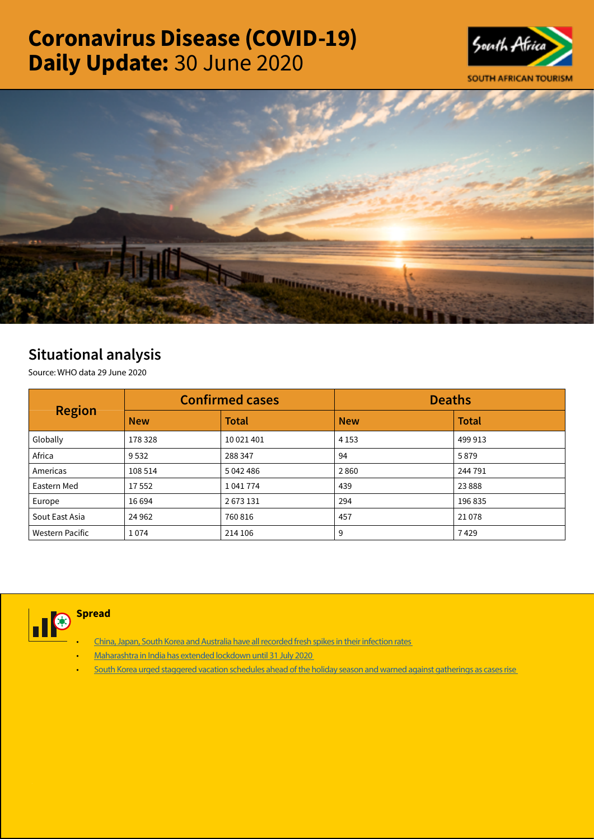# Coronavirus Disease (COVID-19) Daily Update: 30 June 2020





# Situational analysis

Source: WHO data 29 June 2020

| <b>Region</b>   |            | <b>Confirmed cases</b> | <b>Deaths</b> |              |  |
|-----------------|------------|------------------------|---------------|--------------|--|
|                 | <b>New</b> | <b>Total</b>           | <b>New</b>    | <b>Total</b> |  |
| Globally        | 178 328    | 10 021 401             | 4 1 5 3       | 499 913      |  |
| Africa          | 9532       | 288 347                | 94            | 5879         |  |
| Americas        | 108 514    | 5 042 486              | 2860          | 244 791      |  |
| Eastern Med     | 17552      | 1041774                | 439           | 23888        |  |
| Europe          | 16 694     | 2673131                | 294           | 196 835      |  |
| Sout East Asia  | 24 9 62    | 760 816                | 457           | 21078        |  |
| Western Pacific | 1074       | 214 106                | 9             | 7429         |  |



**Spread** 

- China, Japan, South Korea and Australia have all recorded fresh spikes in their infection rates
- [Maharashtra in India has extended lockdown until 31 July 2020](https://is.gd/M5Z2Mt)
- [South Korea urged staggered vacation schedules ahead of the holiday season and warned against gatherings as cases rise](https://t.co/X0BOMc16Cd?amp=1)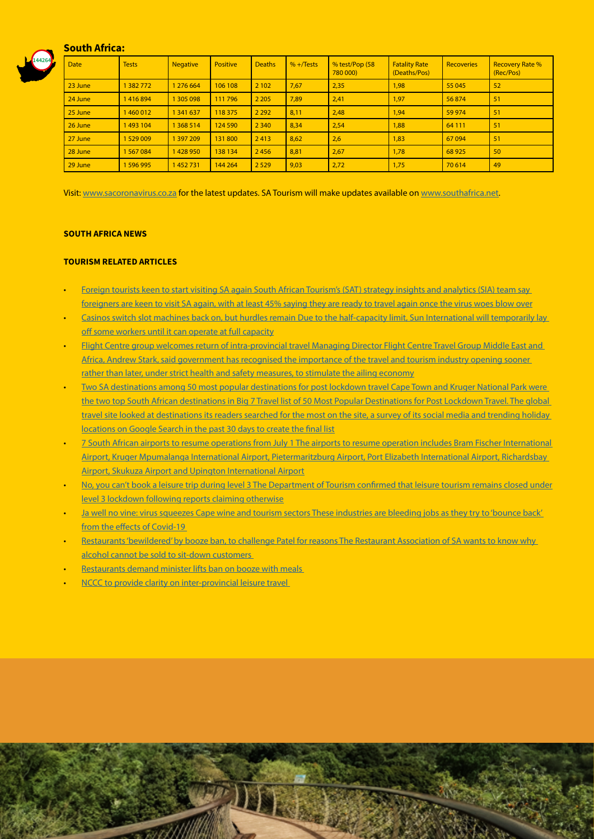

#### South Africa:

| <b>Date</b> | <b>Tests</b> | <b>Negative</b> | <b>Positive</b> | <b>Deaths</b> | $% +$ Tests | $% \text{test/Pop}$ (58<br>780 000) | <b>Fatality Rate</b><br>(Deaths/Pos) | <b>Recoveries</b> | <b>Recovery Rate %</b><br>(Rec/Pos) |
|-------------|--------------|-----------------|-----------------|---------------|-------------|-------------------------------------|--------------------------------------|-------------------|-------------------------------------|
| 23 June     | 1382772      | 1 276 664       | 106 108         | 2 1 0 2       | 7,67        | 2,35                                | 1,98                                 | 55 045            | 52                                  |
| 24 June     | 1416894      | 1 305 098       | 111 796         | 2 2 0 5       | 7,89        | 2,41                                | 1,97                                 | 56874             | 51                                  |
| 25 June     | 1460012      | 1 341 637       | 118 375         | 2 2 9 2       | 8,11        | 2,48                                | 1.94                                 | 59 974            | 51                                  |
| 26 June     | 1493 104     | 1 368 514       | 124 590         | 2 3 4 0       | 8,34        | 2,54                                | 1,88                                 | 64 111            | 51                                  |
| 27 June     | 1529009      | 1 397 209       | 131800          | 2413          | 8,62        | 2,6                                 | 1,83                                 | 67094             | 51                                  |
| 28 June     | 1567084      | 1428950         | 138 134         | 2456          | 8,81        | 2,67                                | 1,78                                 | 68 9 25           | 50                                  |
| 29 June     | 1596995      | 1452731         | 144 264         | 2 5 2 9       | 9,03        | 2,72                                | 1,75                                 | 70 614            | 49                                  |

Visit: [www.sacoronavirus.co.za](http://www.sacoronavirus.co.za) for the latest updates. SA Tourism will make updates available on [www.southafrica.net.](http://www.southafrica.net)

#### SOUTH AFRICA NEWS

#### TOURISM RELATED ARTICLES

- [Foreign tourists keen to start visiting SA again South African Tourism's \(SAT\) strategy insights and analytics \(SIA\) team say](https://citizen.co.za/lifestyle/lifestyle-travel/2311373/foreign-tourists-keen-to-start-visiting-sa-again/)  [foreigners are keen to visit SA again, with at least 45% saying they are ready to travel again once the virus woes blow over](https://citizen.co.za/lifestyle/lifestyle-travel/2311373/foreign-tourists-keen-to-start-visiting-sa-again/)
- [Casinos switch slot machines back on, but hurdles remain Due to the half-capacity limit, Sun International will temporarily lay](https://www.moneyweb.co.za/news-fast-news/casinos-switch-slot-machines-back-on-but-hurdles-remain/)  [off some workers until it can operate at full capacity](https://www.moneyweb.co.za/news-fast-news/casinos-switch-slot-machines-back-on-but-hurdles-remain/)
- [Flight Centre group welcomes return of intra-provincial travel Managing Director Flight Centre Travel Group Middle East and](https://www.iol.co.za/news/south-africa/flight-centre-group-welcomes-return-of-intra-provincial-travel-50110475)  [Africa, Andrew Stark, said government has recognised the importance of the travel and tourism industry opening sooner](https://www.iol.co.za/news/south-africa/flight-centre-group-welcomes-return-of-intra-provincial-travel-50110475)  [rather than later, under strict health and safety measures, to stimulate the ailing economy](https://www.iol.co.za/news/south-africa/flight-centre-group-welcomes-return-of-intra-provincial-travel-50110475)
- Two SA destinations among 50 most popular destinations for post lockdown travel Cape Town and Kruger National Park were the two top South African destinations in Big 7 Travel list of 50 Most Popular Destinations for Post Lockdown Travel. The global travel site looked at destinations its readers searched for the most on the site, a survey of its social media and trending holiday [locations on Google Search in the past 30 days to create the final list](https://bigseventravel.com/2020/06/destinations-to-travel-post-lockdown/)
- [7 South African airports to resume operations from July 1 The airports to resume operation includes Bram Fischer International](https://www.iol.co.za/travel/travel-news/7-south-african-airports-to-resume-operations-from-july-1-50096443)  [Airport, Kruger Mpumalanga International Airport, Pietermaritzburg Airport, Port Elizabeth International Airport, Richardsbay](https://www.iol.co.za/travel/travel-news/7-south-african-airports-to-resume-operations-from-july-1-50096443)  [Airport, Skukuza Airport and Upington International Airport](https://www.iol.co.za/travel/travel-news/7-south-african-airports-to-resume-operations-from-july-1-50096443)
- No, you can't book a leisure trip during level 3 The Department of Tourism confirmed that leisure tourism remains closed under [level 3 lockdown following reports claiming otherwise](https://www.iol.co.za/travel/travel-news/no-you-cant-book-a-leisure-trip-during-level-3-50091814)
- Ja well no vine: virus squeezes Cape wine and tourism sectors These industries are bleeding jobs as they try to 'bounce back' from the effects of Covid-19
- [Restaurants 'bewildered' by booze ban, to challenge Patel for reasons The Restaurant Association of SA wants to know why](https://www.businesslive.co.za/bd/national/2020-06-29-restaurants-bewildered-by-booze-ban-to-challenge-patel-for-reasons/)  [alcohol cannot be sold to sit-down customers](https://www.businesslive.co.za/bd/national/2020-06-29-restaurants-bewildered-by-booze-ban-to-challenge-patel-for-reasons/)

- [Restaurants demand minister lifts ban on booze with meals](https://www.businessinsider.co.za/business/restaurants-takes-action-on-booze-ban-2020-6)
- [NCCC to provide clarity on inter-provincial leisure travel](http://www.tourismupdate.co.za/article/199718/NCCC-to-provide-clarity-on-inter-provincial-leisure-travel)